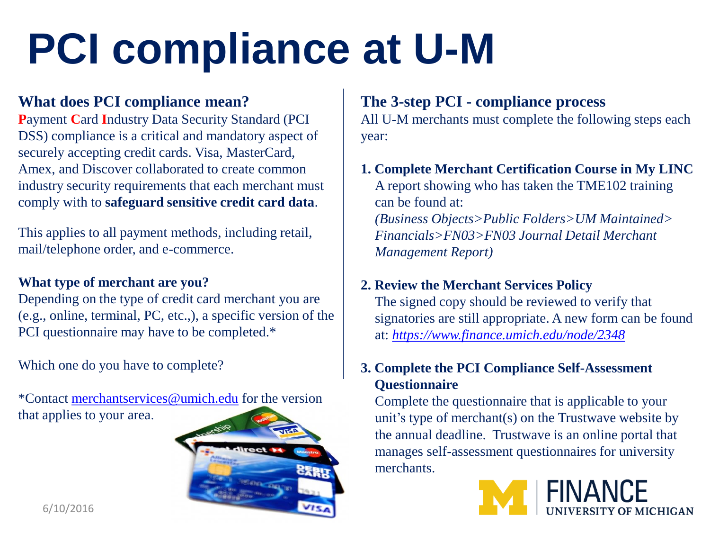# **PCI compliance at U-M**

# **What does PCI compliance mean?**

**P**ayment **C**ard **I**ndustry Data Security Standard (PCI DSS) compliance is a critical and mandatory aspect of securely accepting credit cards. Visa, MasterCard, Amex, and Discover collaborated to create common industry security requirements that each merchant must comply with to **safeguard sensitive credit card data**.

This applies to all payment methods, including retail, mail/telephone order, and e-commerce.

## **What type of merchant are you?**

Depending on the type of credit card merchant you are (e.g., online, terminal, PC, etc.,), a specific version of the PCI questionnaire may have to be completed.\*

Which one do you have to complete?

\*Contact [merchantservices@umich.edu](mailto:merchantservices@umich.edu) for the version that applies to your area.



# **The 3-step PCI - compliance process**

All U-M merchants must complete the following steps each year:

## **1. Complete Merchant Certification Course in My LINC**

A report showing who has taken the TME102 training can be found at: *(Business Objects>Public Folders>UM Maintained> Financials>FN03>FN03 Journal Detail Merchant* 

*Management Report)*

# **2. Review the Merchant Services Policy**

The signed copy should be reviewed to verify that signatories are still appropriate. A new form can be found at: *[https://www.finance.umich.edu/node/2348](https://finance.umich.edu/node/2348)*

## **3. Complete the PCI Compliance Self-Assessment Questionnaire**

Complete the questionnaire that is applicable to your unit's type of merchant(s) on the Trustwave website by the annual deadline. Trustwave is an online portal that manages self-assessment questionnaires for university merchants.